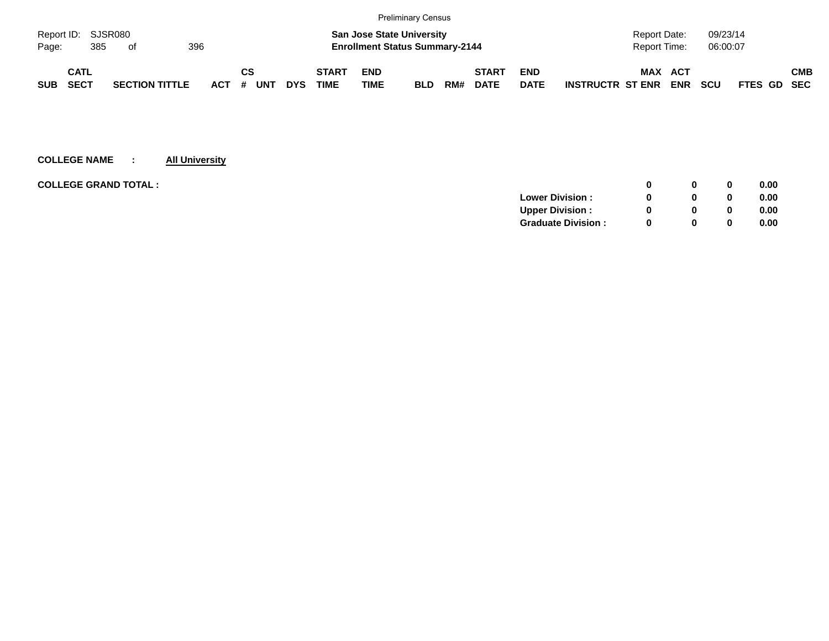|            |                    |                       |     |            |    |     |            |              |                                       | <b>Preliminary Census</b> |     |              |             |                         |                |            |            |             |            |
|------------|--------------------|-----------------------|-----|------------|----|-----|------------|--------------|---------------------------------------|---------------------------|-----|--------------|-------------|-------------------------|----------------|------------|------------|-------------|------------|
|            | Report ID: SJSR080 |                       |     |            |    |     |            |              | <b>San Jose State University</b>      |                           |     |              |             |                         | Report Date:   |            | 09/23/14   |             |            |
| Page:      | 385                | of                    | 396 |            |    |     |            |              | <b>Enrollment Status Summary-2144</b> |                           |     |              |             |                         | Report Time:   |            | 06:00:07   |             |            |
|            | CATL               |                       |     |            | СS |     |            | <b>START</b> | <b>END</b>                            |                           |     | <b>START</b> | <b>END</b>  |                         | <b>MAX ACT</b> |            |            |             | <b>CMB</b> |
| <b>SUB</b> | SECT               | <b>SECTION TITTLE</b> |     | <b>ACT</b> | #  | UNT | <b>DYS</b> | <b>TIME</b>  | <b>TIME</b>                           | <b>BLD</b>                | RM# | <b>DATE</b>  | <b>DATE</b> | <b>INSTRUCTR ST ENR</b> |                | <b>ENR</b> | <b>SCU</b> | FTES GD SEC |            |

| <b>COLLEGE GRAND TOTAL :</b><br>0              | 0.00 |
|------------------------------------------------|------|
| <b>Lower Division:</b><br>0                    | 0.00 |
| <b>Upper Division:</b><br><sup>0</sup><br>0    | 0.00 |
| <b>Graduate Division:</b><br><sup>0</sup><br>0 | 0.00 |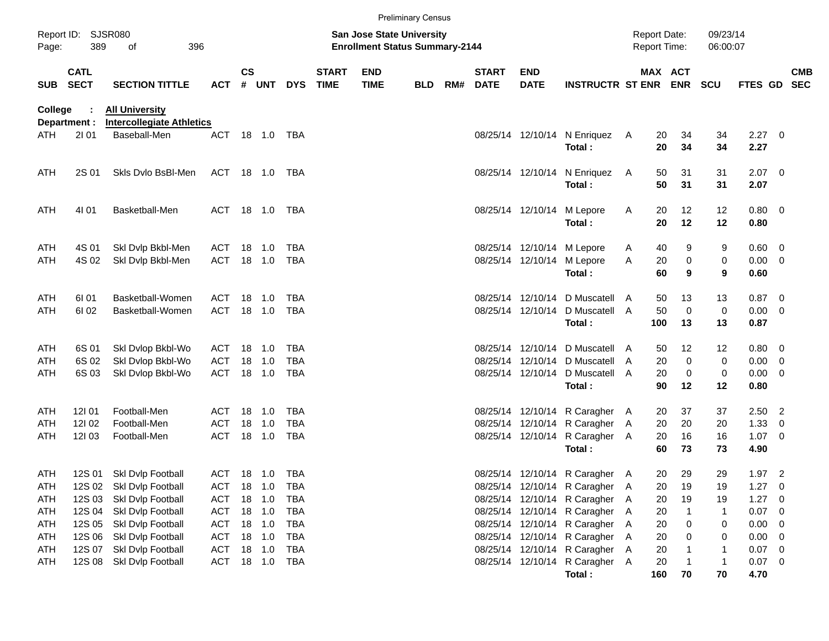|            |                            |                                                  |            |           |              |            |                             |                                                                           | <b>Preliminary Census</b> |     |                             |                           |                                |     |                                            |                       |                      |                |                          |                          |
|------------|----------------------------|--------------------------------------------------|------------|-----------|--------------|------------|-----------------------------|---------------------------------------------------------------------------|---------------------------|-----|-----------------------------|---------------------------|--------------------------------|-----|--------------------------------------------|-----------------------|----------------------|----------------|--------------------------|--------------------------|
| Page:      | Report ID: SJSR080<br>389  | 396<br>of                                        |            |           |              |            |                             | <b>San Jose State University</b><br><b>Enrollment Status Summary-2144</b> |                           |     |                             |                           |                                |     | <b>Report Date:</b><br><b>Report Time:</b> |                       | 09/23/14<br>06:00:07 |                |                          |                          |
| <b>SUB</b> | <b>CATL</b><br><b>SECT</b> | <b>SECTION TITTLE</b>                            | <b>ACT</b> | <b>CS</b> | # UNT        | <b>DYS</b> | <b>START</b><br><b>TIME</b> | <b>END</b><br><b>TIME</b>                                                 | <b>BLD</b>                | RM# | <b>START</b><br><b>DATE</b> | <b>END</b><br><b>DATE</b> | <b>INSTRUCTR ST ENR</b>        |     |                                            | MAX ACT<br><b>ENR</b> | <b>SCU</b>           | <b>FTES GD</b> |                          | <b>CMB</b><br><b>SEC</b> |
| College    |                            | <b>All University</b>                            |            |           |              |            |                             |                                                                           |                           |     |                             |                           |                                |     |                                            |                       |                      |                |                          |                          |
| ATH        | Department :<br>2101       | <b>Intercollegiate Athletics</b><br>Baseball-Men | <b>ACT</b> |           | 18  1.0  TBA |            |                             |                                                                           |                           |     |                             |                           | 08/25/14 12/10/14 N Enriquez   | A   | 20                                         | 34                    | 34                   | $2.27 \t 0$    |                          |                          |
|            |                            |                                                  |            |           |              |            |                             |                                                                           |                           |     |                             |                           | Total:                         |     | 20                                         | 34                    | 34                   | 2.27           |                          |                          |
| ATH        | 2S 01                      | Skls Dvlo BsBI-Men                               | ACT 18 1.0 |           |              | TBA        |                             |                                                                           |                           |     |                             |                           | 08/25/14 12/10/14 N Enriquez   | A   | 50                                         | 31                    | 31                   | $2.07$ 0       |                          |                          |
|            |                            |                                                  |            |           |              |            |                             |                                                                           |                           |     |                             |                           | Total:                         |     | 50                                         | 31                    | 31                   | 2.07           |                          |                          |
| ATH        | 4101                       | Basketball-Men                                   |            |           | ACT 18 1.0   | TBA        |                             |                                                                           |                           |     |                             | 08/25/14 12/10/14         | M Lepore                       | A   | 20<br>20                                   | 12<br>12              | 12                   | 0.80 0         |                          |                          |
|            |                            |                                                  |            |           |              |            |                             |                                                                           |                           |     |                             |                           | Total:                         |     |                                            |                       | 12                   | 0.80           |                          |                          |
| ATH        | 4S 01                      | Skl Dvlp Bkbl-Men                                | ACT        | 18        | 1.0          | <b>TBA</b> |                             |                                                                           |                           |     |                             |                           | 08/25/14 12/10/14 M Lepore     | A   | 40                                         | 9                     | 9                    | 0.60           | $\overline{\phantom{0}}$ |                          |
| ATH        | 4S 02                      | Skl Dvlp Bkbl-Men                                | ACT        |           | 18 1.0       | TBA        |                             |                                                                           |                           |     |                             |                           | 08/25/14 12/10/14 M Lepore     | Α   | 20                                         | $\pmb{0}$             | 0                    | 0.00           | $\overline{\phantom{0}}$ |                          |
|            |                            |                                                  |            |           |              |            |                             |                                                                           |                           |     |                             |                           | Total:                         |     | 60                                         | 9                     | 9                    | 0.60           |                          |                          |
| ATH        | 61 01                      | Basketball-Women                                 | ACT        |           | 18 1.0       | <b>TBA</b> |                             |                                                                           |                           |     |                             | 08/25/14 12/10/14         | D Muscatell A                  |     | 50                                         | 13                    | 13                   | $0.87$ 0       |                          |                          |
| ATH        | 61 02                      | Basketball-Women                                 | ACT        |           | 18 1.0       | TBA        |                             |                                                                           |                           |     |                             | 08/25/14 12/10/14         | D Muscatell A                  |     | 50                                         | 0                     | 0                    | 0.00           | $\overline{\phantom{0}}$ |                          |
|            |                            |                                                  |            |           |              |            |                             |                                                                           |                           |     |                             |                           | Total:                         |     | 100                                        | 13                    | 13                   | 0.87           |                          |                          |
| ATH        | 6S 01                      | Skl Dvlop Bkbl-Wo                                | ACT        | 18        | 1.0          | <b>TBA</b> |                             |                                                                           |                           |     |                             | 08/25/14 12/10/14         | D Muscatell A                  |     | 50                                         | 12                    | 12                   | 0.80           | $\overline{\phantom{0}}$ |                          |
| ATH        | 6S 02                      | Skl Dvlop Bkbl-Wo                                | ACT        | 18        | 1.0          | TBA        |                             |                                                                           |                           |     |                             | 08/25/14 12/10/14         | D Muscatell A                  |     | 20                                         | 0                     | 0                    | 0.00           | - 0                      |                          |
| ATH        | 6S 03                      | Skl Dvlop Bkbl-Wo                                | <b>ACT</b> |           | 18 1.0       | TBA        |                             |                                                                           |                           |     |                             | 08/25/14 12/10/14         | D Muscatell A                  |     | 20                                         | 0                     | 0                    | 0.00           | $\overline{\mathbf{0}}$  |                          |
|            |                            |                                                  |            |           |              |            |                             |                                                                           |                           |     |                             |                           | Total:                         |     | 90                                         | 12                    | 12                   | 0.80           |                          |                          |
| ATH        | 121 01                     | Football-Men                                     | ACT        | 18        | 1.0          | TBA        |                             |                                                                           |                           |     |                             | 08/25/14 12/10/14         | R Caragher A                   |     | 20                                         | 37                    | 37                   | $2.50$ 2       |                          |                          |
| ATH        | 12102                      | Football-Men                                     | ACT        | 18        | 1.0          | <b>TBA</b> |                             |                                                                           |                           |     |                             | 08/25/14 12/10/14         | R Caragher                     | A   | 20                                         | 20                    | 20                   | 1.33           | - 0                      |                          |
| ATH        | 12103                      | Football-Men                                     | ACT        |           | 18 1.0       | TBA        |                             |                                                                           |                           |     |                             | 08/25/14 12/10/14         | R Caragher A                   |     | 20                                         | 16                    | 16                   | $1.07 \t 0$    |                          |                          |
|            |                            |                                                  |            |           |              |            |                             |                                                                           |                           |     |                             |                           | Total:                         |     | 60                                         | 73                    | 73                   | 4.90           |                          |                          |
| ATH        |                            | 12S 01 Skl Dvlp Football                         |            |           | ACT 18 1.0   | TBA        |                             |                                                                           |                           |     |                             |                           | 08/25/14 12/10/14 R Caragher A |     | 20                                         | 29                    | 29                   | $1.97$ 2       |                          |                          |
| <b>ATH</b> |                            | 12S 02 Skl Dvlp Football                         | <b>ACT</b> |           | 18 1.0       | TBA        |                             |                                                                           |                           |     |                             |                           | 08/25/14 12/10/14 R Caragher A |     | 20                                         | 19                    | 19                   | 1.27           | - 0                      |                          |
| ATH        | 12S 03                     | Skl Dvlp Football                                | ACT        |           | 18 1.0       | <b>TBA</b> |                             |                                                                           |                           |     |                             |                           | 08/25/14 12/10/14 R Caragher A |     | 20                                         | 19                    | 19                   | 1.27           | - 0                      |                          |
| ATH        | 12S 04                     | Skl Dvlp Football                                | ACT        |           | 18 1.0       | TBA        |                             |                                                                           |                           |     |                             |                           | 08/25/14 12/10/14 R Caragher A |     | 20                                         | $\mathbf 1$           | $\mathbf{1}$         | 0.07           | $\overline{\phantom{0}}$ |                          |
| ATH        | 12S 05                     | Skl Dvlp Football                                | ACT 18 1.0 |           |              | TBA        |                             |                                                                           |                           |     |                             |                           | 08/25/14 12/10/14 R Caragher   | A   | 20                                         | 0                     | 0                    | 0.00           | - 0                      |                          |
| ATH        | 12S 06                     | Skl Dvlp Football                                | ACT 18 1.0 |           |              | TBA        |                             |                                                                           |                           |     |                             | 08/25/14 12/10/14         | R Caragher                     | A   | 20                                         | 0                     | 0                    | 0.00           | - 0                      |                          |
| ATH        | 12S 07                     | Skl Dvlp Football                                | ACT 18 1.0 |           |              | TBA        |                             |                                                                           |                           |     |                             | 08/25/14 12/10/14         | R Caragher                     | - A | 20                                         |                       | 1                    | 0.07           | - 0                      |                          |
| ATH        | 12S 08                     | Skl Dvlp Football                                | ACT 18 1.0 |           |              | TBA        |                             |                                                                           |                           |     |                             |                           | 08/25/14 12/10/14 R Caragher A |     | 20                                         |                       | $\mathbf{1}$         | $0.07$ 0       |                          |                          |
|            |                            |                                                  |            |           |              |            |                             |                                                                           |                           |     |                             |                           | Total:                         |     | 160                                        | 70                    | 70                   | 4.70           |                          |                          |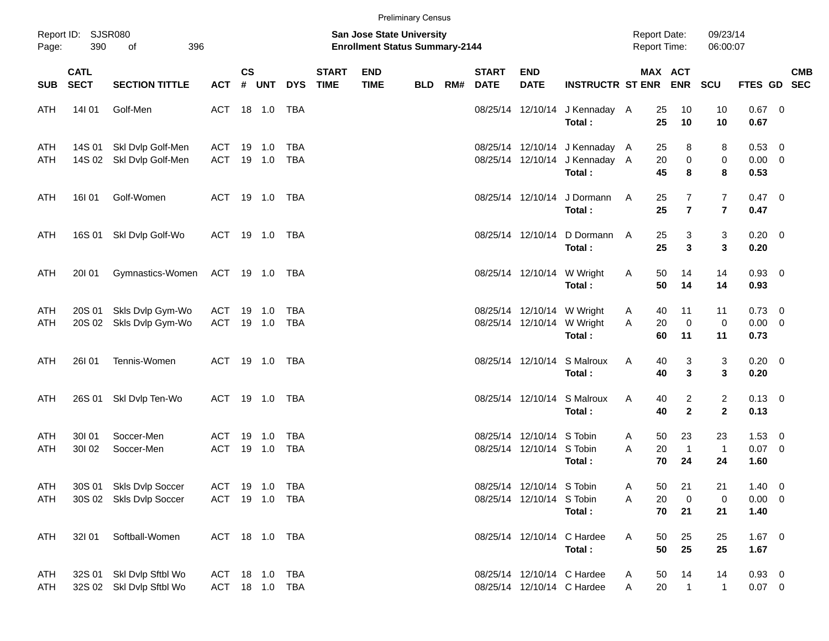|                   |                            |                                                    |                |                |                  |                                  |                             |                                                                    | <b>Preliminary Census</b> |     |                             |                                                        |                                                                            |                                     |                          |                                  |                                       |            |
|-------------------|----------------------------|----------------------------------------------------|----------------|----------------|------------------|----------------------------------|-----------------------------|--------------------------------------------------------------------|---------------------------|-----|-----------------------------|--------------------------------------------------------|----------------------------------------------------------------------------|-------------------------------------|--------------------------|----------------------------------|---------------------------------------|------------|
| Page:             | Report ID: SJSR080<br>390  | 396<br>of                                          |                |                |                  |                                  |                             | San Jose State University<br><b>Enrollment Status Summary-2144</b> |                           |     |                             |                                                        |                                                                            | <b>Report Date:</b><br>Report Time: |                          | 09/23/14<br>06:00:07             |                                       |            |
| <b>SUB</b>        | <b>CATL</b><br><b>SECT</b> | <b>SECTION TITTLE</b>                              | <b>ACT</b>     | <b>CS</b><br># | UNT              | <b>DYS</b>                       | <b>START</b><br><b>TIME</b> | <b>END</b><br><b>TIME</b>                                          | <b>BLD</b>                | RM# | <b>START</b><br><b>DATE</b> | <b>END</b><br><b>DATE</b>                              | <b>INSTRUCTR ST ENR ENR</b>                                                |                                     | MAX ACT                  | <b>SCU</b>                       | FTES GD SEC                           | <b>CMB</b> |
| ATH               | 14101                      | Golf-Men                                           |                |                |                  | ACT 18 1.0 TBA                   |                             |                                                                    |                           |     |                             |                                                        | 08/25/14 12/10/14 J Kennaday A<br>Total:                                   | 25<br>25                            | 10<br>10                 | 10<br>10                         | $0.67$ 0<br>0.67                      |            |
| ATH<br>ATH        | 14S 01                     | Skl Dvlp Golf-Men<br>14S 02 Skl Dvlp Golf-Men      | ACT<br>ACT     |                | 19 1.0<br>19 1.0 | TBA<br>TBA                       |                             |                                                                    |                           |     |                             |                                                        | 08/25/14 12/10/14 J Kennaday A<br>08/25/14 12/10/14 J Kennaday A<br>Total: | 25<br>20<br>45                      | 8<br>$\pmb{0}$<br>8      | 8<br>0<br>8                      | 0.53 0<br>$0.00 \t 0$<br>0.53         |            |
| ATH               | 16I 01                     | Golf-Women                                         |                |                |                  | ACT 19 1.0 TBA                   |                             |                                                                    |                           |     |                             |                                                        | 08/25/14 12/10/14 J Dormann<br>Total:                                      | 25<br>Α<br>25                       | 7<br>$\overline{7}$      | $\overline{7}$<br>$\overline{7}$ | $0.47 \quad 0$<br>0.47                |            |
| ATH               | 16S 01                     | Skl Dvlp Golf-Wo                                   |                |                |                  | ACT 19 1.0 TBA                   |                             |                                                                    |                           |     |                             |                                                        | 08/25/14 12/10/14 D Dormann<br>Total:                                      | 25<br>A<br>25                       | 3<br>$\mathbf{3}$        | 3<br>3                           | $0.20 \ 0$<br>0.20                    |            |
| ATH               | 20101                      | Gymnastics-Women                                   | ACT 19 1.0 TBA |                |                  |                                  |                             |                                                                    |                           |     |                             |                                                        | 08/25/14 12/10/14 W Wright<br>Total:                                       | 50<br>Α<br>50                       | 14<br>14                 | 14<br>14                         | 0.93 0<br>0.93                        |            |
| ATH<br>ATH        | 20S 01                     | Skls Dvlp Gym-Wo<br>20S 02 Skls Dvlp Gym-Wo        | ACT<br>ACT     |                | 19 1.0<br>19 1.0 | TBA<br>TBA                       |                             |                                                                    |                           |     |                             |                                                        | 08/25/14 12/10/14 W Wright<br>08/25/14 12/10/14 W Wright<br>Total:         | 40<br>A<br>20<br>A<br>60            | 11<br>$\mathbf 0$<br>11  | 11<br>$\mathbf 0$<br>11          | $0.73 \quad 0$<br>$0.00 \t 0$<br>0.73 |            |
| ATH               | <b>26101</b>               | Tennis-Women                                       |                |                |                  | ACT 19 1.0 TBA                   |                             |                                                                    |                           |     |                             |                                                        | 08/25/14 12/10/14 S Malroux<br>Total:                                      | 40<br>Α<br>40                       | 3<br>3                   | 3<br>3                           | $0.20 \ 0$<br>0.20                    |            |
| ATH               | 26S 01                     | Skl Dvlp Ten-Wo                                    |                |                |                  | ACT 19 1.0 TBA                   |                             |                                                                    |                           |     |                             |                                                        | 08/25/14 12/10/14 S Malroux<br>Total:                                      | Α<br>40<br>40                       | 2<br>$\mathbf{2}$        | $\overline{c}$<br>$\mathbf{2}$   | $0.13 \ 0$<br>0.13                    |            |
| ATH<br>ATH        | 30101<br>30102             | Soccer-Men<br>Soccer-Men                           | ACT<br>ACT     |                | 19 1.0<br>19 1.0 | TBA<br><b>TBA</b>                |                             |                                                                    |                           |     |                             | 08/25/14 12/10/14 S Tobin<br>08/25/14 12/10/14 S Tobin | Total:                                                                     | 50<br>A<br>A<br>20<br>70            | 23<br>$\mathbf{1}$<br>24 | 23<br>$\overline{1}$<br>24       | $1.53 \t 0$<br>$0.07$ 0<br>1.60       |            |
| <b>ATH</b><br>ATH |                            | 30S 01 Skls Dvlp Soccer<br>30S 02 Skls Dvlp Soccer |                |                |                  | ACT 19 1.0 TBA<br>ACT 19 1.0 TBA |                             |                                                                    |                           |     |                             | 08/25/14 12/10/14 S Tobin<br>08/25/14 12/10/14 S Tobin | Total:                                                                     | Α<br>50<br>Α<br>20<br>70            | 21<br>$\mathbf 0$<br>21  | 21<br>0<br>21                    | $1.40 \ 0$<br>$0.00 \t 0$<br>1.40     |            |
| ATH               | 32101                      | Softball-Women                                     |                |                |                  | ACT 18 1.0 TBA                   |                             |                                                                    |                           |     |                             |                                                        | 08/25/14 12/10/14 C Hardee<br>Total:                                       | 50<br>Α<br>50                       | 25<br>25                 | 25<br>25                         | $1.67$ 0<br>1.67                      |            |
| ATH<br>ATH        | 32S 01                     | Skl Dvlp Sftbl Wo<br>32S 02 Skl Dvlp Sftbl Wo      |                |                |                  | ACT 18 1.0 TBA<br>ACT 18 1.0 TBA |                             |                                                                    |                           |     |                             |                                                        | 08/25/14 12/10/14 C Hardee<br>08/25/14 12/10/14 C Hardee                   | 50<br>A<br>20<br>A                  | 14<br>$\overline{1}$     | 14<br>$\mathbf{1}$               | $0.93 \ 0$<br>$0.07 \ 0$              |            |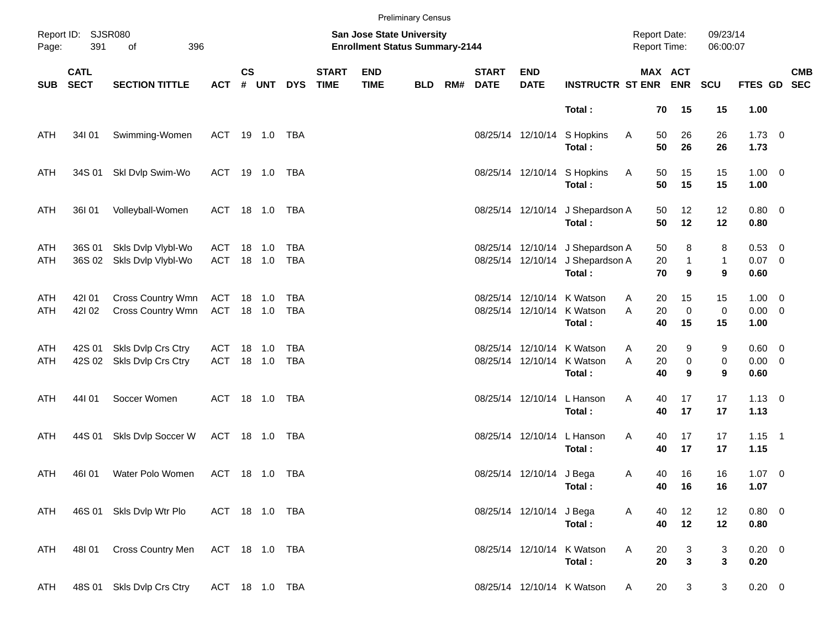|            |                            |                                          |                   |                    |                  |                          |                             |                                                                           | <b>Preliminary Census</b> |     |                             |                           |                                                                                |                                     |                         |                         |                                    |            |
|------------|----------------------------|------------------------------------------|-------------------|--------------------|------------------|--------------------------|-----------------------------|---------------------------------------------------------------------------|---------------------------|-----|-----------------------------|---------------------------|--------------------------------------------------------------------------------|-------------------------------------|-------------------------|-------------------------|------------------------------------|------------|
| Page:      | Report ID: SJSR080<br>391  | 396<br>of                                |                   |                    |                  |                          |                             | <b>San Jose State University</b><br><b>Enrollment Status Summary-2144</b> |                           |     |                             |                           |                                                                                | <b>Report Date:</b><br>Report Time: |                         | 09/23/14<br>06:00:07    |                                    |            |
| <b>SUB</b> | <b>CATL</b><br><b>SECT</b> | <b>SECTION TITTLE</b>                    | <b>ACT</b>        | $\mathsf{cs}$<br># | UNT              | <b>DYS</b>               | <b>START</b><br><b>TIME</b> | <b>END</b><br><b>TIME</b>                                                 | <b>BLD</b>                | RM# | <b>START</b><br><b>DATE</b> | <b>END</b><br><b>DATE</b> | <b>INSTRUCTR ST ENR ENR</b>                                                    |                                     | MAX ACT                 | SCU                     | FTES GD SEC                        | <b>CMB</b> |
|            |                            |                                          |                   |                    |                  |                          |                             |                                                                           |                           |     |                             |                           | Total:                                                                         | 70                                  | 15                      | 15                      | 1.00                               |            |
| ATH        | 34101                      | Swimming-Women                           | ACT 19 1.0 TBA    |                    |                  |                          |                             |                                                                           |                           |     |                             |                           | 08/25/14 12/10/14 S Hopkins<br>Total:                                          | Α<br>50<br>50                       | 26<br>26                | 26<br>26                | $1.73 \t 0$<br>1.73                |            |
| ATH        | 34S 01                     | Skl Dvlp Swim-Wo                         | ACT 19 1.0 TBA    |                    |                  |                          |                             |                                                                           |                           |     |                             |                           | 08/25/14 12/10/14 S Hopkins<br>Total:                                          | Α<br>50<br>50                       | 15<br>15                | 15<br>15                | $1.00 \t 0$<br>1.00                |            |
| ATH        | 36I 01                     | Volleyball-Women                         | ACT 18 1.0 TBA    |                    |                  |                          |                             |                                                                           |                           |     |                             |                           | 08/25/14 12/10/14 J Shepardson A<br>Total:                                     | 50<br>50                            | 12<br>12                | 12<br>12                | $0.80 \ 0$<br>0.80                 |            |
| ATH<br>ATH | 36S 01<br>36S 02           | Skls Dvlp Vlybl-Wo<br>Skls Dvlp Vlybl-Wo | ACT<br><b>ACT</b> |                    | 18 1.0<br>18 1.0 | <b>TBA</b><br><b>TBA</b> |                             |                                                                           |                           |     |                             |                           | 08/25/14 12/10/14 J Shepardson A<br>08/25/14 12/10/14 J Shepardson A<br>Total: | 50<br>20<br>70                      | 8<br>1<br>9             | 8<br>$\mathbf{1}$<br>9  | $0.53$ 0<br>$0.07$ 0<br>0.60       |            |
| ATH<br>ATH | 42101<br>421 02            | Cross Country Wmn<br>Cross Country Wmn   | ACT<br>ACT 18 1.0 |                    | 18 1.0           | TBA<br>TBA               |                             |                                                                           |                           |     |                             |                           | 08/25/14 12/10/14 K Watson<br>08/25/14 12/10/14 K Watson<br>Total:             | 20<br>A<br>20<br>A<br>40            | 15<br>$\mathbf 0$<br>15 | 15<br>$\mathbf 0$<br>15 | $1.00 \t 0$<br>$0.00 \t 0$<br>1.00 |            |
| ATH<br>ATH | 42S 01<br>42S 02           | Skls Dvlp Crs Ctry<br>Skls Dvlp Crs Ctry | ACT<br><b>ACT</b> |                    | 18 1.0<br>18 1.0 | <b>TBA</b><br>TBA        |                             |                                                                           |                           |     |                             |                           | 08/25/14 12/10/14 K Watson<br>08/25/14 12/10/14 K Watson<br>Total:             | 20<br>A<br>A<br>20<br>40            | 9<br>$\pmb{0}$<br>9     | 9<br>0<br>9             | 0.60 0<br>$0.00 \t 0$<br>0.60      |            |
| ATH        | 44101                      | Soccer Women                             | ACT 18 1.0 TBA    |                    |                  |                          |                             |                                                                           |                           |     |                             |                           | 08/25/14 12/10/14 L Hanson<br>Total:                                           | Α<br>40<br>40                       | 17<br>17                | 17<br>17                | $1.13 \ 0$<br>1.13                 |            |
| ATH        | 44S 01                     | Skls Dvlp Soccer W                       | ACT 18 1.0 TBA    |                    |                  |                          |                             |                                                                           |                           |     |                             |                           | 08/25/14 12/10/14 L Hanson<br>Total:                                           | Α<br>40<br>40                       | 17<br>17                | 17<br>17                | $1.15$ 1<br>1.15                   |            |
| ATH        | 46I 01                     | Water Polo Women                         | ACT 18 1.0 TBA    |                    |                  |                          |                             |                                                                           |                           |     |                             | 08/25/14 12/10/14 J Bega  | Total:                                                                         | 40<br>A<br>40                       | 16<br>16                | 16<br>16                | $1.07 \t 0$<br>1.07                |            |
| ATH        |                            | 46S 01 Skls Dvlp Wtr Plo                 | ACT 18 1.0 TBA    |                    |                  |                          |                             |                                                                           |                           |     |                             | 08/25/14 12/10/14 J Bega  | Total:                                                                         | Α<br>40<br>40                       | 12<br>12                | 12<br>12                | 0.80 0<br>0.80                     |            |
| ATH        | 48I 01                     | Cross Country Men                        | ACT 18 1.0 TBA    |                    |                  |                          |                             |                                                                           |                           |     |                             |                           | 08/25/14 12/10/14 K Watson<br>Total:                                           | Α<br>20<br>20                       | 3<br>$\mathbf{3}$       | 3<br>3                  | $0.20 \ 0$<br>0.20                 |            |
| ATH        |                            | 48S 01 Skls Dvlp Crs Ctry                | ACT 18 1.0 TBA    |                    |                  |                          |                             |                                                                           |                           |     |                             |                           | 08/25/14 12/10/14 K Watson                                                     | 20<br>A                             | 3                       | 3                       | $0.20 \t 0$                        |            |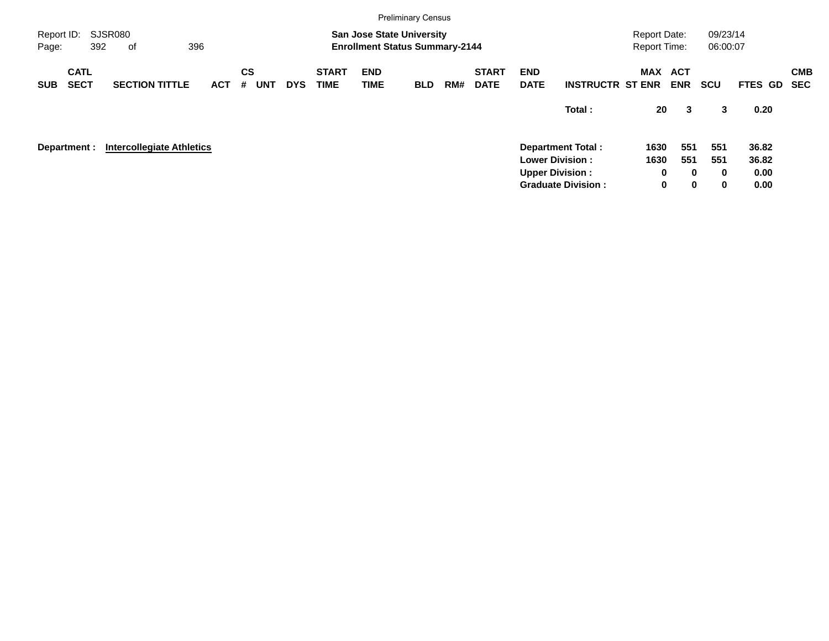|                     |                            |     |                                  |            |                |            |            |                             |                           | <b>Preliminary Census</b>                                                 |     |                             |                           |                                                  |                                            |                          |                      |               |            |
|---------------------|----------------------------|-----|----------------------------------|------------|----------------|------------|------------|-----------------------------|---------------------------|---------------------------------------------------------------------------|-----|-----------------------------|---------------------------|--------------------------------------------------|--------------------------------------------|--------------------------|----------------------|---------------|------------|
| Report ID:<br>Page: |                            | 392 | SJSR080<br>of                    | 396        |                |            |            |                             |                           | <b>San Jose State University</b><br><b>Enrollment Status Summary-2144</b> |     |                             |                           |                                                  | <b>Report Date:</b><br><b>Report Time:</b> |                          | 09/23/14<br>06:00:07 |               |            |
| <b>SUB</b>          | <b>CATL</b><br><b>SECT</b> |     | <b>SECTION TITTLE</b>            | <b>ACT</b> | <b>CS</b><br># | <b>UNT</b> | <b>DYS</b> | <b>START</b><br><b>TIME</b> | <b>END</b><br><b>TIME</b> | <b>BLD</b>                                                                | RM# | <b>START</b><br><b>DATE</b> | <b>END</b><br><b>DATE</b> | <b>INSTRUCTR ST ENR</b>                          | MAX                                        | <b>ACT</b><br><b>ENR</b> | <b>SCU</b>           | FTES GD SEC   | <b>CMB</b> |
|                     |                            |     |                                  |            |                |            |            |                             |                           |                                                                           |     |                             |                           | Total:                                           | 20                                         | 3                        | 3                    | 0.20          |            |
| Department :        |                            |     | <b>Intercollegiate Athletics</b> |            |                |            |            |                             |                           |                                                                           |     |                             |                           | <b>Department Total:</b>                         | 1630                                       | 551                      | 551                  | 36.82         |            |
|                     |                            |     |                                  |            |                |            |            |                             |                           |                                                                           |     |                             |                           | <b>Lower Division:</b><br><b>Upper Division:</b> | 1630                                       | 551<br>0<br>$\bf{0}$     | 551<br>$\bf{0}$      | 36.82<br>0.00 |            |
|                     |                            |     |                                  |            |                |            |            |                             |                           |                                                                           |     |                             |                           | <b>Graduate Division:</b>                        |                                            | 0<br>$\mathbf 0$         | 0                    | 0.00          |            |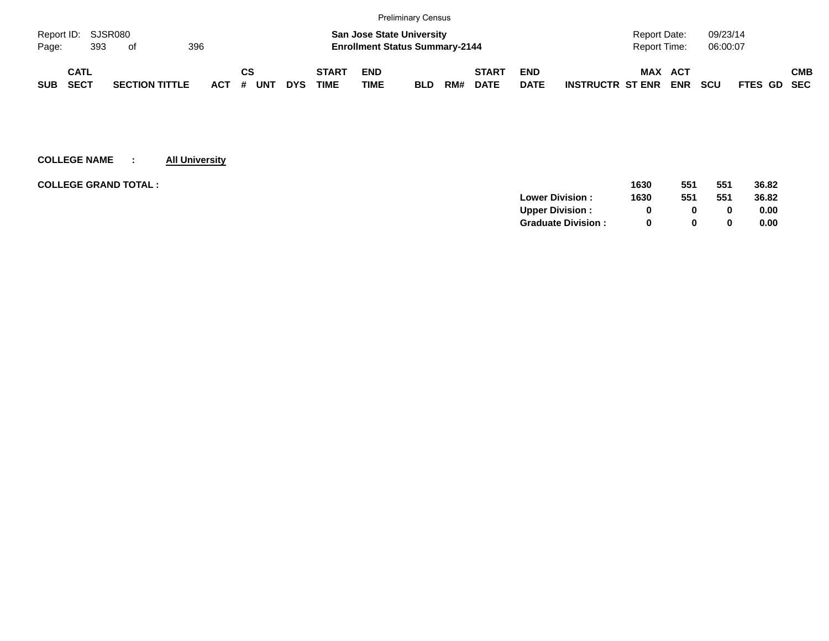|            |                    |     |                       |     |            |    |     |            |              |             | <b>Preliminary Census</b>             |     |              |             |                         |                |            |            |                    |            |
|------------|--------------------|-----|-----------------------|-----|------------|----|-----|------------|--------------|-------------|---------------------------------------|-----|--------------|-------------|-------------------------|----------------|------------|------------|--------------------|------------|
|            | Report ID: SJSR080 |     |                       |     |            |    |     |            |              |             | <b>San Jose State University</b>      |     |              |             |                         | Report Date:   |            | 09/23/14   |                    |            |
| Page:      |                    | 393 | - of                  | 396 |            |    |     |            |              |             | <b>Enrollment Status Summary-2144</b> |     |              |             |                         | Report Time:   |            | 06:00:07   |                    |            |
|            | CATL               |     |                       |     |            | СS |     |            | <b>START</b> | <b>END</b>  |                                       |     | <b>START</b> | <b>END</b>  |                         | <b>MAX ACT</b> |            |            |                    | <b>CMB</b> |
| <b>SUB</b> | <b>SECT</b>        |     | <b>SECTION TITTLE</b> |     | <b>ACT</b> | #  | UNT | <b>DYS</b> | <b>TIME</b>  | <b>TIME</b> | <b>BLD</b>                            | RM# | <b>DATE</b>  | <b>DATE</b> | <b>INSTRUCTR ST ENR</b> |                | <b>ENR</b> | <b>SCU</b> | <b>FTES GD SEC</b> |            |

| <b>COLLEGE GRAND TOTAL :</b> | 1630 | 551          | 551 | 36.82 |
|------------------------------|------|--------------|-----|-------|
| <b>Lower Division:</b>       | 1630 | 551          | 551 | 36.82 |
| <b>Upper Division:</b>       | 0    |              |     | 0.00  |
| <b>Graduate Division:</b>    | 0    | <sup>0</sup> |     | 0.00  |
|                              |      |              |     |       |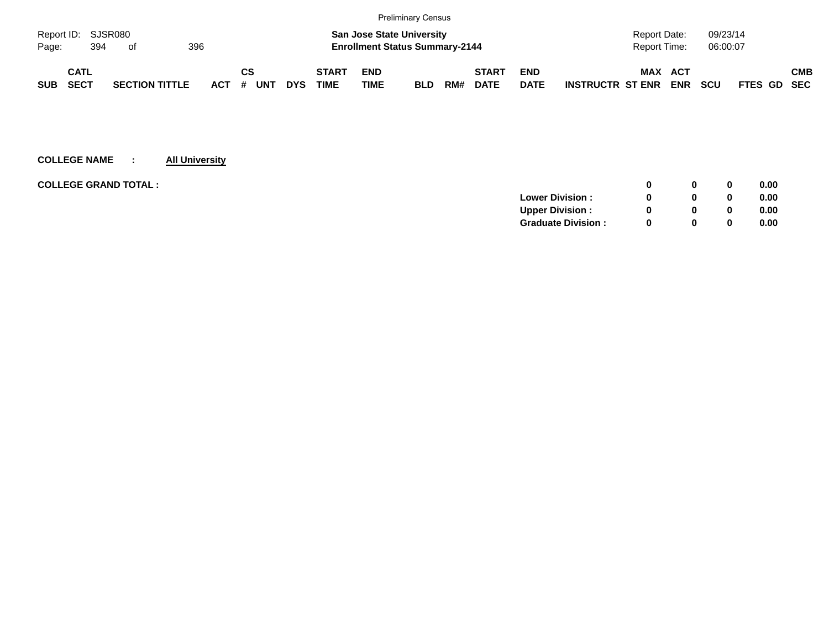|            |                    |     |                       |     |            |     |            |            |              |                                                                           | <b>Preliminary Census</b> |     |              |             |                         |                              |            |                      |             |            |
|------------|--------------------|-----|-----------------------|-----|------------|-----|------------|------------|--------------|---------------------------------------------------------------------------|---------------------------|-----|--------------|-------------|-------------------------|------------------------------|------------|----------------------|-------------|------------|
| Page:      | Report ID: SJSR080 | 394 | . of                  | 396 |            |     |            |            |              | <b>San Jose State University</b><br><b>Enrollment Status Summary-2144</b> |                           |     |              |             |                         | Report Date:<br>Report Time: |            | 09/23/14<br>06:00:07 |             |            |
|            |                    |     |                       |     |            |     |            |            |              |                                                                           |                           |     |              |             |                         |                              |            |                      |             |            |
|            | <b>CATL</b>        |     |                       |     |            | СS  |            |            | <b>START</b> | <b>END</b>                                                                |                           |     | <b>START</b> | <b>END</b>  |                         | MAX                          | <b>ACT</b> |                      |             | <b>CMB</b> |
| <b>SUB</b> | <b>SECT</b>        |     | <b>SECTION TITTLE</b> |     | <b>ACT</b> | . # | <b>UNT</b> | <b>DYS</b> | <b>TIME</b>  | <b>TIME</b>                                                               | <b>BLD</b>                | RM# | <b>DATE</b>  | <b>DATE</b> | <b>INSTRUCTR ST ENR</b> |                              | <b>ENR</b> | <b>SCU</b>           | FTES GD SEC |            |

| <b>COLLEGE GRAND TOTAL :</b> |                           |          | 0        | 0.00 |
|------------------------------|---------------------------|----------|----------|------|
|                              | <b>Lower Division:</b>    |          | $\bf{0}$ | 0.00 |
|                              | <b>Upper Division:</b>    |          | $\bf{0}$ | 0.00 |
|                              | <b>Graduate Division:</b> | $\Omega$ | 0        | 0.00 |
|                              |                           |          |          |      |